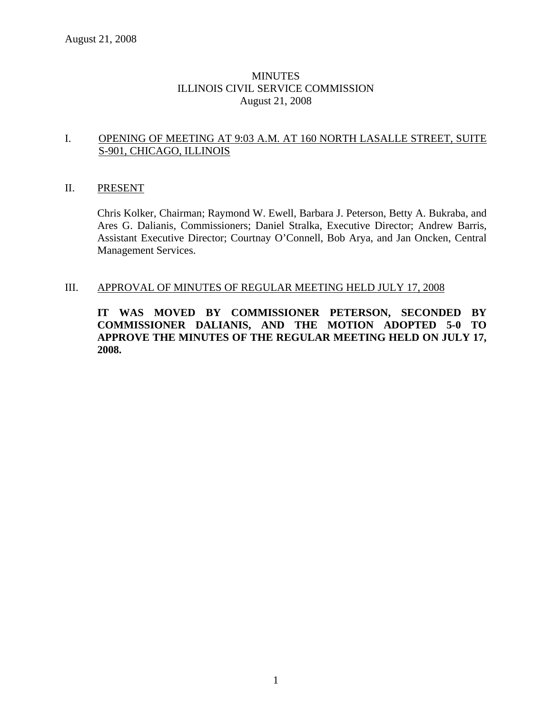## **MINUTES** ILLINOIS CIVIL SERVICE COMMISSION August 21, 2008

## I. OPENING OF MEETING AT 9:03 A.M. AT 160 NORTH LASALLE STREET, SUITE S-901, CHICAGO, ILLINOIS

#### II. PRESENT

Chris Kolker, Chairman; Raymond W. Ewell, Barbara J. Peterson, Betty A. Bukraba, and Ares G. Dalianis, Commissioners; Daniel Stralka, Executive Director; Andrew Barris, Assistant Executive Director; Courtnay O'Connell, Bob Arya, and Jan Oncken, Central Management Services.

#### III. APPROVAL OF MINUTES OF REGULAR MEETING HELD JULY 17, 2008

**IT WAS MOVED BY COMMISSIONER PETERSON, SECONDED BY COMMISSIONER DALIANIS, AND THE MOTION ADOPTED 5-0 TO APPROVE THE MINUTES OF THE REGULAR MEETING HELD ON JULY 17, 2008.**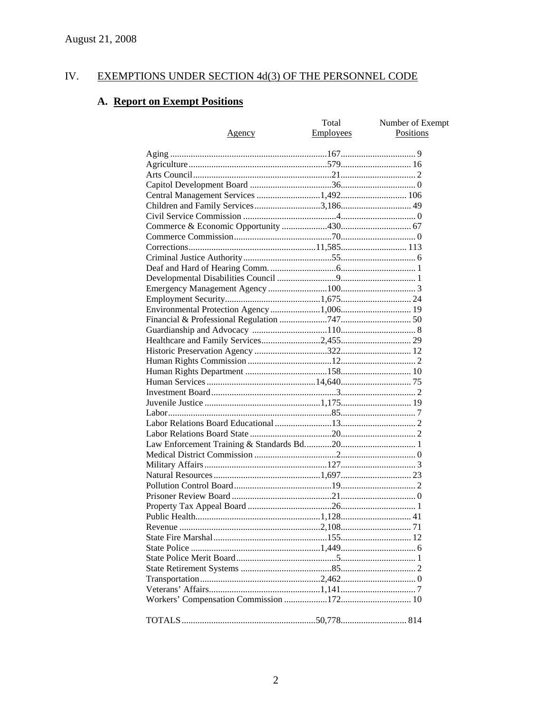#### IV. **EXEMPTIONS UNDER SECTION 4d(3) OF THE PERSONNEL CODE**

# A. Report on Exempt Positions

| <u>Agency</u>                         | Total<br><b>Employees</b> | Number of Exempt<br><b>Positions</b> |
|---------------------------------------|---------------------------|--------------------------------------|
|                                       |                           |                                      |
|                                       |                           |                                      |
|                                       |                           |                                      |
|                                       |                           |                                      |
| Central Management Services 1,492 106 |                           |                                      |
|                                       |                           |                                      |
|                                       |                           |                                      |
|                                       |                           |                                      |
|                                       |                           |                                      |
|                                       |                           |                                      |
|                                       |                           |                                      |
|                                       |                           |                                      |
|                                       |                           |                                      |
|                                       |                           |                                      |
|                                       |                           |                                      |
|                                       |                           |                                      |
|                                       |                           |                                      |
|                                       |                           |                                      |
|                                       |                           |                                      |
|                                       |                           |                                      |
|                                       |                           |                                      |
|                                       |                           |                                      |
|                                       |                           |                                      |
|                                       |                           |                                      |
|                                       |                           |                                      |
|                                       |                           |                                      |
|                                       |                           |                                      |
|                                       |                           |                                      |
|                                       |                           |                                      |
|                                       |                           |                                      |
|                                       |                           |                                      |
|                                       |                           |                                      |
|                                       |                           |                                      |
|                                       |                           |                                      |
|                                       |                           |                                      |
|                                       |                           |                                      |
|                                       |                           |                                      |
|                                       |                           |                                      |
|                                       |                           |                                      |
|                                       |                           |                                      |
|                                       |                           |                                      |
|                                       |                           |                                      |
|                                       |                           |                                      |
|                                       |                           |                                      |
|                                       |                           |                                      |
|                                       |                           |                                      |
|                                       |                           |                                      |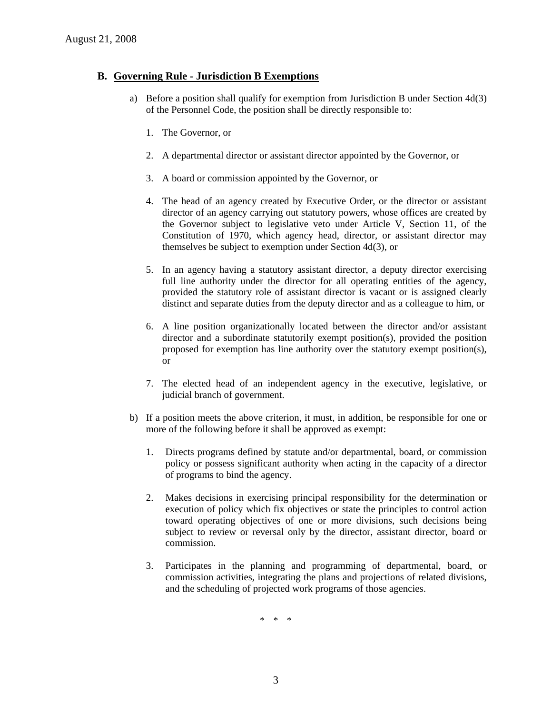## **B. Governing Rule - Jurisdiction B Exemptions**

- a) Before a position shall qualify for exemption from Jurisdiction B under Section 4d(3) of the Personnel Code, the position shall be directly responsible to:
	- 1. The Governor, or
	- 2. A departmental director or assistant director appointed by the Governor, or
	- 3. A board or commission appointed by the Governor, or
	- 4. The head of an agency created by Executive Order, or the director or assistant director of an agency carrying out statutory powers, whose offices are created by the Governor subject to legislative veto under Article V, Section 11, of the Constitution of 1970, which agency head, director, or assistant director may themselves be subject to exemption under Section 4d(3), or
	- 5. In an agency having a statutory assistant director, a deputy director exercising full line authority under the director for all operating entities of the agency, provided the statutory role of assistant director is vacant or is assigned clearly distinct and separate duties from the deputy director and as a colleague to him, or
	- 6. A line position organizationally located between the director and/or assistant director and a subordinate statutorily exempt position(s), provided the position proposed for exemption has line authority over the statutory exempt position(s), or
	- 7. The elected head of an independent agency in the executive, legislative, or judicial branch of government.
- b) If a position meets the above criterion, it must, in addition, be responsible for one or more of the following before it shall be approved as exempt:
	- 1. Directs programs defined by statute and/or departmental, board, or commission policy or possess significant authority when acting in the capacity of a director of programs to bind the agency.
	- 2. Makes decisions in exercising principal responsibility for the determination or execution of policy which fix objectives or state the principles to control action toward operating objectives of one or more divisions, such decisions being subject to review or reversal only by the director, assistant director, board or commission.
	- 3. Participates in the planning and programming of departmental, board, or commission activities, integrating the plans and projections of related divisions, and the scheduling of projected work programs of those agencies.

\* \* \*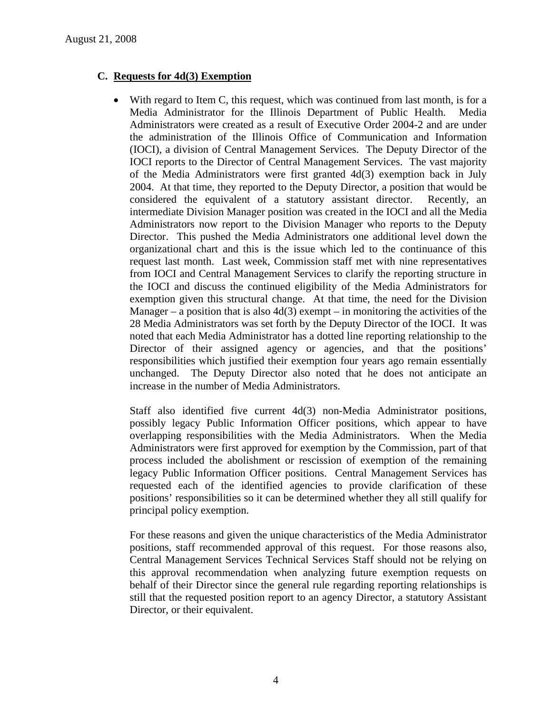## **C. Requests for 4d(3) Exemption**

• With regard to Item C, this request, which was continued from last month, is for a Media Administrator for the Illinois Department of Public Health. Media Administrators were created as a result of Executive Order 2004-2 and are under the administration of the Illinois Office of Communication and Information (IOCI), a division of Central Management Services. The Deputy Director of the IOCI reports to the Director of Central Management Services. The vast majority of the Media Administrators were first granted  $4d(3)$  exemption back in July 2004. At that time, they reported to the Deputy Director, a position that would be considered the equivalent of a statutory assistant director. Recently, an intermediate Division Manager position was created in the IOCI and all the Media Administrators now report to the Division Manager who reports to the Deputy Director. This pushed the Media Administrators one additional level down the organizational chart and this is the issue which led to the continuance of this request last month. Last week, Commission staff met with nine representatives from IOCI and Central Management Services to clarify the reporting structure in the IOCI and discuss the continued eligibility of the Media Administrators for exemption given this structural change. At that time, the need for the Division Manager – a position that is also  $4d(3)$  exempt – in monitoring the activities of the 28 Media Administrators was set forth by the Deputy Director of the IOCI. It was noted that each Media Administrator has a dotted line reporting relationship to the Director of their assigned agency or agencies, and that the positions' responsibilities which justified their exemption four years ago remain essentially unchanged. The Deputy Director also noted that he does not anticipate an increase in the number of Media Administrators.

Staff also identified five current 4d(3) non-Media Administrator positions, possibly legacy Public Information Officer positions, which appear to have overlapping responsibilities with the Media Administrators. When the Media Administrators were first approved for exemption by the Commission, part of that process included the abolishment or rescission of exemption of the remaining legacy Public Information Officer positions. Central Management Services has requested each of the identified agencies to provide clarification of these positions' responsibilities so it can be determined whether they all still qualify for principal policy exemption.

For these reasons and given the unique characteristics of the Media Administrator positions, staff recommended approval of this request. For those reasons also, Central Management Services Technical Services Staff should not be relying on this approval recommendation when analyzing future exemption requests on behalf of their Director since the general rule regarding reporting relationships is still that the requested position report to an agency Director, a statutory Assistant Director, or their equivalent.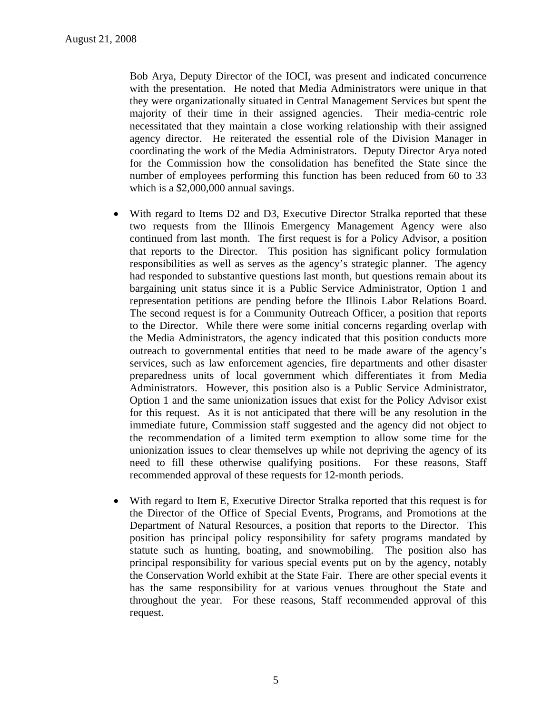Bob Arya, Deputy Director of the IOCI, was present and indicated concurrence with the presentation. He noted that Media Administrators were unique in that they were organizationally situated in Central Management Services but spent the majority of their time in their assigned agencies. Their media-centric role necessitated that they maintain a close working relationship with their assigned agency director. He reiterated the essential role of the Division Manager in coordinating the work of the Media Administrators. Deputy Director Arya noted for the Commission how the consolidation has benefited the State since the number of employees performing this function has been reduced from 60 to 33 which is a \$2,000,000 annual savings.

- With regard to Items D2 and D3, Executive Director Stralka reported that these two requests from the Illinois Emergency Management Agency were also continued from last month. The first request is for a Policy Advisor, a position that reports to the Director. This position has significant policy formulation responsibilities as well as serves as the agency's strategic planner. The agency had responded to substantive questions last month, but questions remain about its bargaining unit status since it is a Public Service Administrator, Option 1 and representation petitions are pending before the Illinois Labor Relations Board. The second request is for a Community Outreach Officer, a position that reports to the Director. While there were some initial concerns regarding overlap with the Media Administrators, the agency indicated that this position conducts more outreach to governmental entities that need to be made aware of the agency's services, such as law enforcement agencies, fire departments and other disaster preparedness units of local government which differentiates it from Media Administrators. However, this position also is a Public Service Administrator, Option 1 and the same unionization issues that exist for the Policy Advisor exist for this request. As it is not anticipated that there will be any resolution in the immediate future, Commission staff suggested and the agency did not object to the recommendation of a limited term exemption to allow some time for the unionization issues to clear themselves up while not depriving the agency of its need to fill these otherwise qualifying positions. For these reasons, Staff recommended approval of these requests for 12-month periods.
- With regard to Item E, Executive Director Stralka reported that this request is for the Director of the Office of Special Events, Programs, and Promotions at the Department of Natural Resources, a position that reports to the Director. This position has principal policy responsibility for safety programs mandated by statute such as hunting, boating, and snowmobiling. The position also has principal responsibility for various special events put on by the agency, notably the Conservation World exhibit at the State Fair. There are other special events it has the same responsibility for at various venues throughout the State and throughout the year. For these reasons, Staff recommended approval of this request.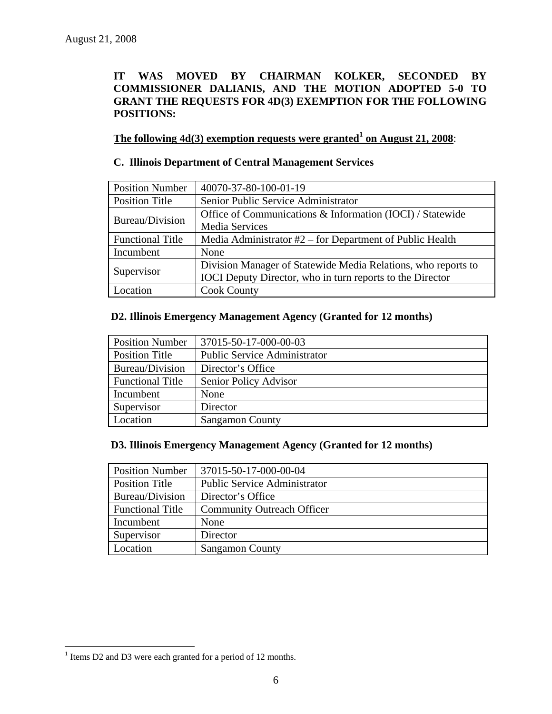## **IT WAS MOVED BY CHAIRMAN KOLKER, SECONDED BY COMMISSIONER DALIANIS, AND THE MOTION ADOPTED 5-0 TO GRANT THE REQUESTS FOR 4D(3) EXEMPTION FOR THE FOLLOWING POSITIONS:**

**The following 4d(3) exemption requests were granted<sup>1</sup> on August 21, 2008:** 

## **C. Illinois Department of Central Management Services**

| <b>Position Number</b>  | 40070-37-80-100-01-19                                         |
|-------------------------|---------------------------------------------------------------|
| <b>Position Title</b>   | Senior Public Service Administrator                           |
|                         | Office of Communications & Information (IOCI) / Statewide     |
| Bureau/Division         | Media Services                                                |
| <b>Functional Title</b> | Media Administrator #2 – for Department of Public Health      |
| Incumbent               | None                                                          |
|                         | Division Manager of Statewide Media Relations, who reports to |
| Supervisor              | IOCI Deputy Director, who in turn reports to the Director     |
| Location                | <b>Cook County</b>                                            |

#### **D2. Illinois Emergency Management Agency (Granted for 12 months)**

| <b>Position Number</b>  | 37015-50-17-000-00-03               |
|-------------------------|-------------------------------------|
| <b>Position Title</b>   | <b>Public Service Administrator</b> |
| Bureau/Division         | Director's Office                   |
| <b>Functional Title</b> | Senior Policy Advisor               |
| Incumbent               | None                                |
| Supervisor              | Director                            |
| Location                | <b>Sangamon County</b>              |

### **D3. Illinois Emergency Management Agency (Granted for 12 months)**

| <b>Position Number</b>  | 37015-50-17-000-00-04               |
|-------------------------|-------------------------------------|
| Position Title          | <b>Public Service Administrator</b> |
| Bureau/Division         | Director's Office                   |
| <b>Functional Title</b> | <b>Community Outreach Officer</b>   |
| Incumbent               | None                                |
| Supervisor              | Director                            |
| Location                | <b>Sangamon County</b>              |

 $\overline{a}$ 

<sup>&</sup>lt;sup>1</sup> Items D2 and D3 were each granted for a period of 12 months.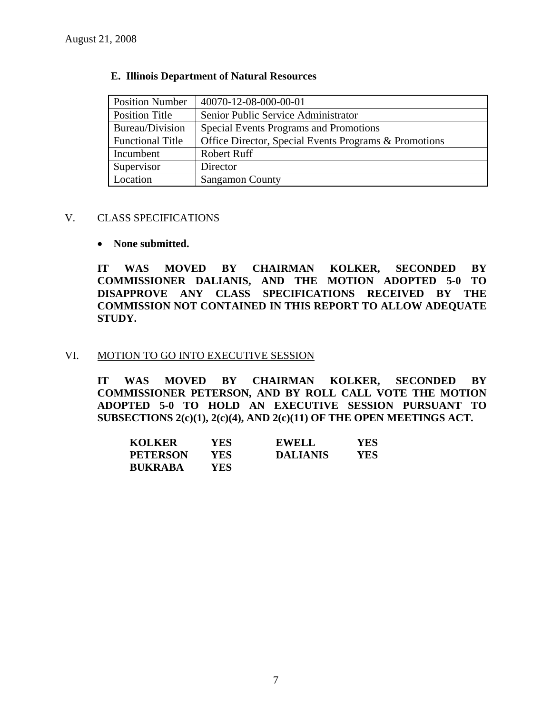| <b>Position Number</b>  | 40070-12-08-000-00-01                                 |
|-------------------------|-------------------------------------------------------|
| Position Title          | Senior Public Service Administrator                   |
| Bureau/Division         | Special Events Programs and Promotions                |
| <b>Functional Title</b> | Office Director, Special Events Programs & Promotions |
| Incumbent               | Robert Ruff                                           |
| Supervisor              | Director                                              |
| Location                | <b>Sangamon County</b>                                |

#### **E. Illinois Department of Natural Resources**

#### V. CLASS SPECIFICATIONS

#### • **None submitted.**

**IT WAS MOVED BY CHAIRMAN KOLKER, SECONDED BY COMMISSIONER DALIANIS, AND THE MOTION ADOPTED 5-0 TO DISAPPROVE ANY CLASS SPECIFICATIONS RECEIVED BY THE COMMISSION NOT CONTAINED IN THIS REPORT TO ALLOW ADEQUATE STUDY.** 

#### VI. MOTION TO GO INTO EXECUTIVE SESSION

**IT WAS MOVED BY CHAIRMAN KOLKER, SECONDED BY COMMISSIONER PETERSON, AND BY ROLL CALL VOTE THE MOTION ADOPTED 5-0 TO HOLD AN EXECUTIVE SESSION PURSUANT TO SUBSECTIONS 2(c)(1), 2(c)(4), AND 2(c)(11) OF THE OPEN MEETINGS ACT.** 

| <b>KOLKER</b>   | YES | <b>EWELL</b>    | YES |
|-----------------|-----|-----------------|-----|
| <b>PETERSON</b> | YES | <b>DALIANIS</b> | YES |
| <b>BUKRABA</b>  | YES |                 |     |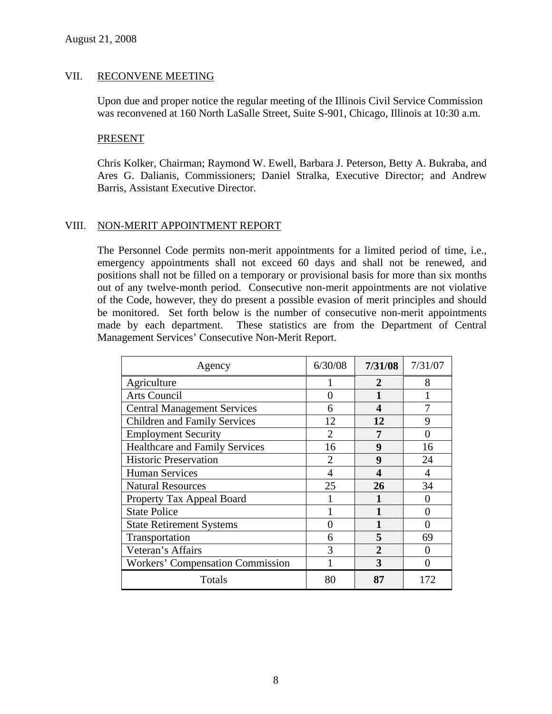## VII. RECONVENE MEETING

Upon due and proper notice the regular meeting of the Illinois Civil Service Commission was reconvened at 160 North LaSalle Street, Suite S-901, Chicago, Illinois at 10:30 a.m.

#### PRESENT

Chris Kolker, Chairman; Raymond W. Ewell, Barbara J. Peterson, Betty A. Bukraba, and Ares G. Dalianis, Commissioners; Daniel Stralka, Executive Director; and Andrew Barris, Assistant Executive Director.

## VIII. NON-MERIT APPOINTMENT REPORT

The Personnel Code permits non-merit appointments for a limited period of time, i.e., emergency appointments shall not exceed 60 days and shall not be renewed, and positions shall not be filled on a temporary or provisional basis for more than six months out of any twelve-month period. Consecutive non-merit appointments are not violative of the Code, however, they do present a possible evasion of merit principles and should be monitored. Set forth below is the number of consecutive non-merit appointments made by each department. These statistics are from the Department of Central Management Services' Consecutive Non-Merit Report.

| Agency                                | 6/30/08                | 7/31/08     | 7/31/07 |
|---------------------------------------|------------------------|-------------|---------|
| Agriculture                           |                        | $\mathbf 2$ | 8       |
| Arts Council                          | 0                      |             |         |
| <b>Central Management Services</b>    | 6                      | Δ           |         |
| <b>Children and Family Services</b>   | 12                     | 12          | 9       |
| <b>Employment Security</b>            | 2                      | 7           |         |
| <b>Healthcare and Family Services</b> | 16                     | 9           | 16      |
| <b>Historic Preservation</b>          | $\mathfrak{D}_{\cdot}$ | 9           | 24      |
| <b>Human Services</b>                 | 4                      | 4           | 4       |
| <b>Natural Resources</b>              | 25                     | 26          | 34      |
| Property Tax Appeal Board             |                        |             |         |
| <b>State Police</b>                   |                        |             | 0       |
| <b>State Retirement Systems</b>       | 0                      |             |         |
| Transportation                        | 6                      | 5           | 69      |
| Veteran's Affairs                     | 3                      | 2           |         |
| Workers' Compensation Commission      |                        | 3           |         |
| Totals                                | 80                     | 87          | 172     |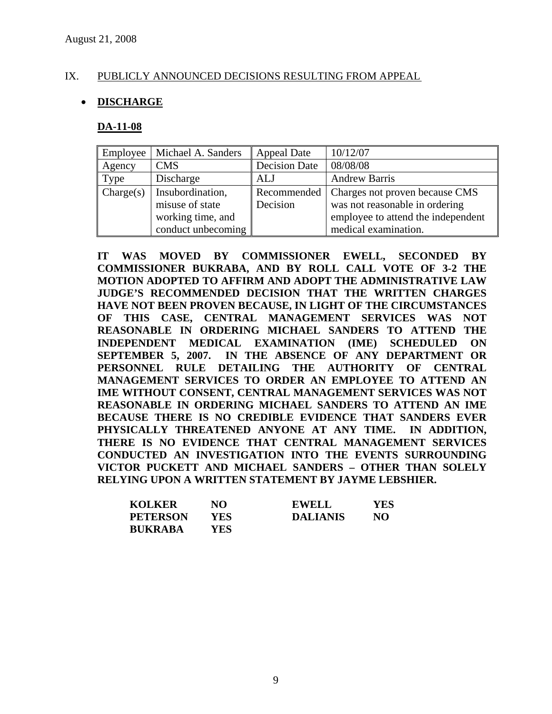## IX. PUBLICLY ANNOUNCED DECISIONS RESULTING FROM APPEAL

## • **DISCHARGE**

#### **DA-11-08**

| Employee  | Michael A. Sanders | <b>Appeal Date</b>   | 10/12/07                           |
|-----------|--------------------|----------------------|------------------------------------|
| Agency    | <b>CMS</b>         | <b>Decision Date</b> | 08/08/08                           |
| Type      | Discharge          | ALJ                  | <b>Andrew Barris</b>               |
| Change(s) | Insubordination,   | Recommended          | Charges not proven because CMS     |
|           | misuse of state    | Decision             | was not reasonable in ordering     |
|           | working time, and  |                      | employee to attend the independent |
|           | conduct unbecoming |                      | medical examination.               |

**IT WAS MOVED BY COMMISSIONER EWELL, SECONDED BY COMMISSIONER BUKRABA, AND BY ROLL CALL VOTE OF 3-2 THE MOTION ADOPTED TO AFFIRM AND ADOPT THE ADMINISTRATIVE LAW JUDGE'S RECOMMENDED DECISION THAT THE WRITTEN CHARGES HAVE NOT BEEN PROVEN BECAUSE, IN LIGHT OF THE CIRCUMSTANCES OF THIS CASE, CENTRAL MANAGEMENT SERVICES WAS NOT REASONABLE IN ORDERING MICHAEL SANDERS TO ATTEND THE INDEPENDENT MEDICAL EXAMINATION (IME) SCHEDULED ON SEPTEMBER 5, 2007. IN THE ABSENCE OF ANY DEPARTMENT OR PERSONNEL RULE DETAILING THE AUTHORITY OF CENTRAL MANAGEMENT SERVICES TO ORDER AN EMPLOYEE TO ATTEND AN IME WITHOUT CONSENT, CENTRAL MANAGEMENT SERVICES WAS NOT REASONABLE IN ORDERING MICHAEL SANDERS TO ATTEND AN IME BECAUSE THERE IS NO CREDIBLE EVIDENCE THAT SANDERS EVER PHYSICALLY THREATENED ANYONE AT ANY TIME. IN ADDITION, THERE IS NO EVIDENCE THAT CENTRAL MANAGEMENT SERVICES CONDUCTED AN INVESTIGATION INTO THE EVENTS SURROUNDING VICTOR PUCKETT AND MICHAEL SANDERS – OTHER THAN SOLELY RELYING UPON A WRITTEN STATEMENT BY JAYME LEBSHIER.** 

| <b>KOLKER</b>   | NO  | <b>EWELL</b>    | YES |
|-----------------|-----|-----------------|-----|
| <b>PETERSON</b> | YES | <b>DALIANIS</b> | NO. |
| <b>BUKRABA</b>  | YES |                 |     |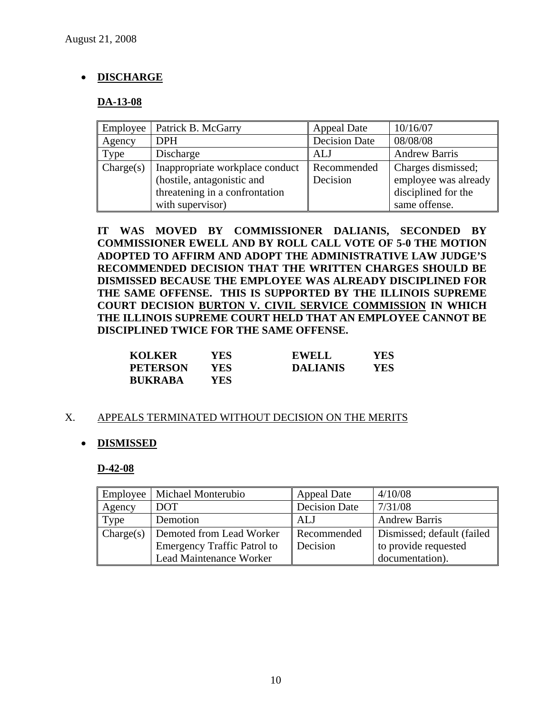## • **DISCHARGE**

## **DA-13-08**

| Employee  | Patrick B. McGarry              | <b>Appeal Date</b>   | 10/16/07             |
|-----------|---------------------------------|----------------------|----------------------|
| Agency    | <b>DPH</b>                      | <b>Decision Date</b> | 08/08/08             |
| Type      | Discharge                       | <b>ALJ</b>           | <b>Andrew Barris</b> |
| Change(s) | Inappropriate workplace conduct | Recommended          | Charges dismissed;   |
|           | (hostile, antagonistic and      | Decision             | employee was already |
|           | threatening in a confrontation  |                      | disciplined for the  |
|           | with supervisor)                |                      | same offense.        |

**IT WAS MOVED BY COMMISSIONER DALIANIS, SECONDED BY COMMISSIONER EWELL AND BY ROLL CALL VOTE OF 5-0 THE MOTION ADOPTED TO AFFIRM AND ADOPT THE ADMINISTRATIVE LAW JUDGE'S RECOMMENDED DECISION THAT THE WRITTEN CHARGES SHOULD BE DISMISSED BECAUSE THE EMPLOYEE WAS ALREADY DISCIPLINED FOR THE SAME OFFENSE. THIS IS SUPPORTED BY THE ILLINOIS SUPREME COURT DECISION BURTON V. CIVIL SERVICE COMMISSION IN WHICH THE ILLINOIS SUPREME COURT HELD THAT AN EMPLOYEE CANNOT BE DISCIPLINED TWICE FOR THE SAME OFFENSE.** 

| <b>KOLKER</b>   | YES | EWELL           | YES |
|-----------------|-----|-----------------|-----|
| <b>PETERSON</b> | YES | <b>DALIANIS</b> | YES |
| <b>BUKRABA</b>  | YES |                 |     |

## X. APPEALS TERMINATED WITHOUT DECISION ON THE MERITS

## • **DISMISSED**

#### **D-42-08**

| <b>Employee</b> | Michael Monterubio                 | Appeal Date          | 4/10/08                     |
|-----------------|------------------------------------|----------------------|-----------------------------|
| Agency          | DOT                                | <b>Decision Date</b> | 7/31/08                     |
| Type            | Demotion                           | ALJ                  | <b>Andrew Barris</b>        |
| Change(s)       | Demoted from Lead Worker           | Recommended          | Dismissed; default (failed) |
|                 | <b>Emergency Traffic Patrol to</b> | Decision             | to provide requested        |
|                 | Lead Maintenance Worker            |                      | documentation).             |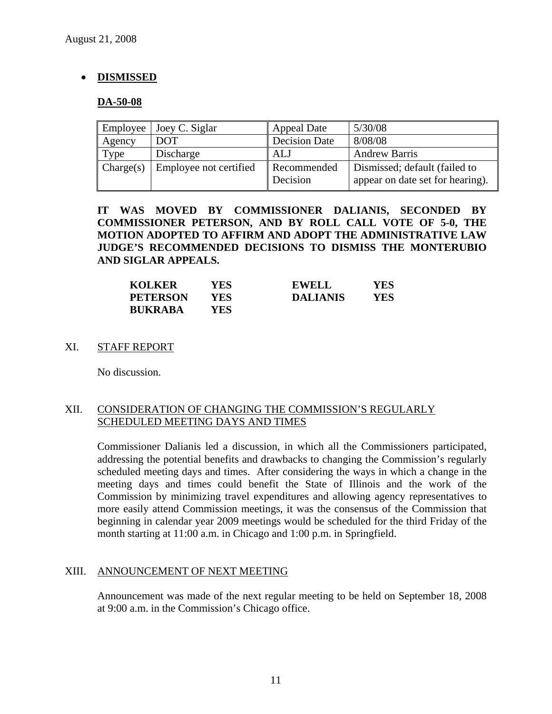## • **DISMISSED**

#### **DA-50-08**

| Employee  | Joey C. Siglar         | <b>Appeal Date</b>      | 5/30/08                                                           |
|-----------|------------------------|-------------------------|-------------------------------------------------------------------|
| Agency    | <b>DOT</b>             | <b>Decision Date</b>    | 8/08/08                                                           |
| Type      | Discharge              | ALJ                     | <b>Andrew Barris</b>                                              |
| Change(s) | Employee not certified | Recommended<br>Decision | Dismissed; default (failed to<br>appear on date set for hearing). |

**IT WAS MOVED BY COMMISSIONER DALIANIS, SECONDED BY COMMISSIONER PETERSON, AND BY ROLL CALL VOTE OF 5-0, THE MOTION ADOPTED TO AFFIRM AND ADOPT THE ADMINISTRATIVE LAW JUDGE'S RECOMMENDED DECISIONS TO DISMISS THE MONTERUBIO AND SIGLAR APPEALS.** 

| <b>KOLKER</b>   | YES | <b>EWELL</b>    | YES |
|-----------------|-----|-----------------|-----|
| <b>PETERSON</b> | YES | <b>DALIANIS</b> | YES |
| <b>BUKRABA</b>  | YES |                 |     |

## XI. STAFF REPORT

No discussion.

## XII. CONSIDERATION OF CHANGING THE COMMISSION'S REGULARLY SCHEDULED MEETING DAYS AND TIMES

Commissioner Dalianis led a discussion, in which all the Commissioners participated, addressing the potential benefits and drawbacks to changing the Commission's regularly scheduled meeting days and times. After considering the ways in which a change in the meeting days and times could benefit the State of Illinois and the work of the Commission by minimizing travel expenditures and allowing agency representatives to more easily attend Commission meetings, it was the consensus of the Commission that beginning in calendar year 2009 meetings would be scheduled for the third Friday of the month starting at 11:00 a.m. in Chicago and 1:00 p.m. in Springfield.

#### XIII. ANNOUNCEMENT OF NEXT MEETING

Announcement was made of the next regular meeting to be held on September 18, 2008 at 9:00 a.m. in the Commission's Chicago office.